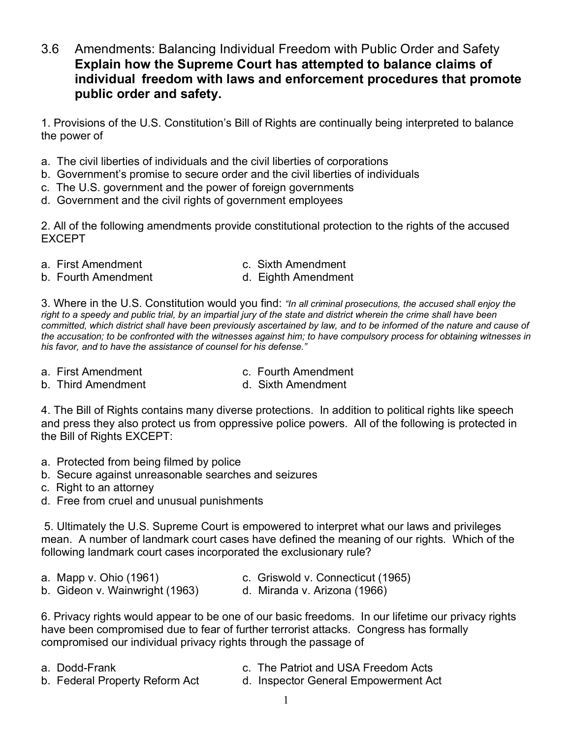3.6 Amendments: Balancing Individual Freedom with Public Order and Safety **Explain how the Supreme Court has attempted to balance claims of individual freedom with laws and enforcement procedures that promote public order and safety.**

1. Provisions of the U.S. Constitution's Bill of Rights are continually being interpreted to balance the power of

- a. The civil liberties of individuals and the civil liberties of corporations
- b. Government's promise to secure order and the civil liberties of individuals
- c. The U.S. government and the power of foreign governments
- d. Government and the civil rights of government employees

2. All of the following amendments provide constitutional protection to the rights of the accused EXCEPT

- 
- a. First Amendment **c.** Sixth Amendment
- b. Fourth Amendment b. Eighth Amendment
	-

3. Where in the U.S. Constitution would you find: *"In all criminal prosecutions, the accused shall enjoy the right to a speedy and public trial, by an impartial jury of the state and district wherein the crime shall have been committed, which district shall have been previously ascertained by law, and to be informed of the nature and cause of the accusation; to be confronted with the witnesses against him; to have compulsory process for obtaining witnesses in his favor, and to have the assistance of counsel for his defense."*

- a. First Amendment **c. Fourth Amendment**
- b. Third Amendment and the Sixth Amendment
- -

4. The Bill of Rights contains many diverse protections. In addition to political rights like speech and press they also protect us from oppressive police powers. All of the following is protected in the Bill of Rights EXCEPT:

- a. Protected from being filmed by police
- b. Secure against unreasonable searches and seizures
- c. Right to an attorney
- d. Free from cruel and unusual punishments

5. Ultimately the U.S. Supreme Court is empowered to interpret what our laws and privileges mean. A number of landmark court cases have defined the meaning of our rights. Which of the following landmark court cases incorporated the exclusionary rule?

- 
- a. Mapp v. Ohio (1961) c. Griswold v. Connecticut (1965)
- b. Gideon v. Wainwright (1963) d. Miranda v. Arizona (1966)
- 

6. Privacy rights would appear to be one of our basic freedoms. In our lifetime our privacy rights have been compromised due to fear of further terrorist attacks. Congress has formally compromised our individual privacy rights through the passage of

- 
- a. Dodd-Frank c. The Patriot and USA Freedom Acts
- 
- b. Federal Property Reform Act d. Inspector General Empowerment Act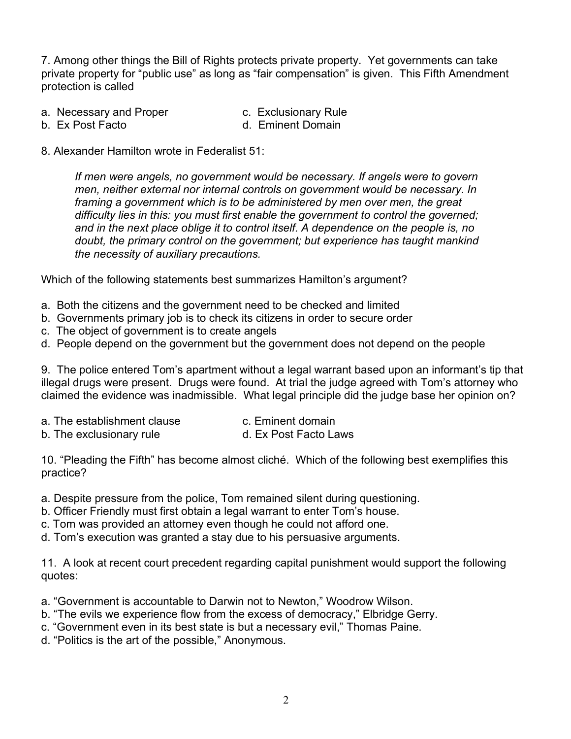7. Among other things the Bill of Rights protects private property. Yet governments can take private property for "public use" as long as "fair compensation" is given. This Fifth Amendment protection is called

- a. Necessary and Proper c. Exclusionary Rule
	-
- 
- b. Ex Post Facto d. Eminent Domain
- 8. Alexander Hamilton wrote in Federalist 51:

*If men were angels, no government would be necessary. If angels were to govern men, neither external nor internal controls on government would be necessary. In framing a government which is to be administered by men over men, the great difficulty lies in this: you must first enable the government to control the governed; and in the next place oblige it to control itself. A dependence on the people is, no doubt, the primary control on the government; but experience has taught mankind the necessity of auxiliary precautions.*

Which of the following statements best summarizes Hamilton's argument?

- a. Both the citizens and the government need to be checked and limited
- b. Governments primary job is to check its citizens in order to secure order
- c. The object of government is to create angels
- d. People depend on the government but the government does not depend on the people

9. The police entered Tom's apartment without a legal warrant based upon an informant's tip that illegal drugs were present. Drugs were found. At trial the judge agreed with Tom's attorney who claimed the evidence was inadmissible. What legal principle did the judge base her opinion on?

- a. The establishment clause example c. Eminent domain
- b. The exclusionary rule d. Ex Post Facto Laws

10. "Pleading the Fifth" has become almost cliché. Which of the following best exemplifies this practice?

- a. Despite pressure from the police, Tom remained silent during questioning.
- b. Officer Friendly must first obtain a legal warrant to enter Tom's house.
- c. Tom was provided an attorney even though he could not afford one.
- d. Tom's execution was granted a stay due to his persuasive arguments.

11. A look at recent court precedent regarding capital punishment would support the following quotes:

- a. "Government is accountable to Darwin not to Newton," Woodrow Wilson.
- b. "The evils we experience flow from the excess of democracy," Elbridge Gerry.
- c. "Government even in its best state is but a necessary evil," Thomas Paine.
- d. "Politics is the art of the possible," Anonymous.